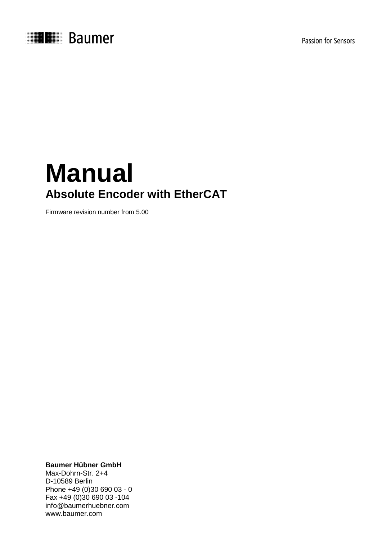



# **Manual Absolute Encoder with EtherCAT**

Firmware revision number from 5.00

**Baumer Hübner GmbH**

Max-Dohrn-Str. 2+4 D-10589 Berlin Phone +49 (0)30 690 03 - 0 Fax +49 (0)30 690 03 -104 info@baumerhuebner.com www.baumer.com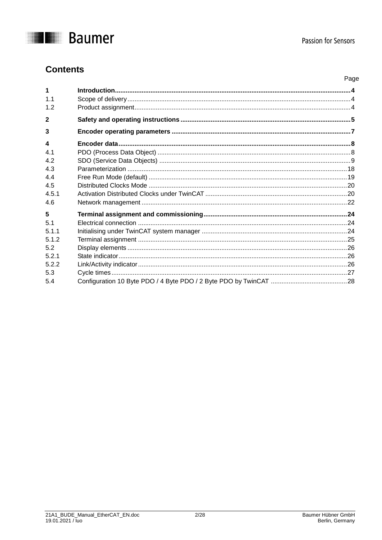

Page

## **Contents**

| $\mathbf 1$            |  |
|------------------------|--|
| 1 <sub>1</sub>         |  |
| 1.2                    |  |
| $\mathbf{2}$           |  |
| 3                      |  |
| $\boldsymbol{\Lambda}$ |  |
| 41                     |  |
| 42                     |  |
| 4.3                    |  |
| 4.4                    |  |
| 4.5                    |  |
| 4.5.1                  |  |
| 4.6                    |  |
| 5                      |  |
| 5.1                    |  |
| 5.1.1                  |  |
| 512                    |  |
| 5.2                    |  |
| 5.2.1                  |  |
| 522                    |  |
| 5.3                    |  |
| 5.4                    |  |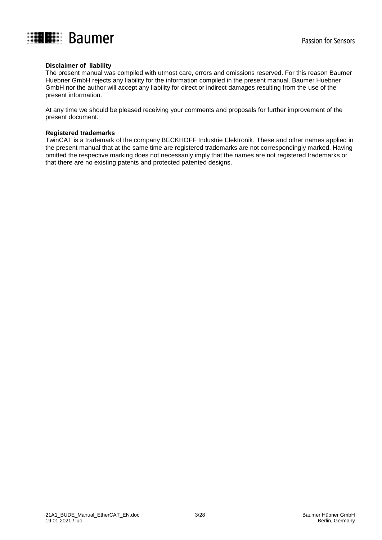

#### **Disclaimer of liability**

The present manual was compiled with utmost care, errors and omissions reserved. For this reason Baumer Huebner GmbH rejects any liability for the information compiled in the present manual. Baumer Huebner GmbH nor the author will accept any liability for direct or indirect damages resulting from the use of the present information.

At any time we should be pleased receiving your comments and proposals for further improvement of the present document.

#### **Registered trademarks**

TwinCAT is a trademark of the company BECKHOFF Industrie Elektronik. These and other names applied in the present manual that at the same time are registered trademarks are not correspondingly marked. Having omitted the respective marking does not necessarily imply that the names are not registered trademarks or that there are no existing patents and protected patented designs.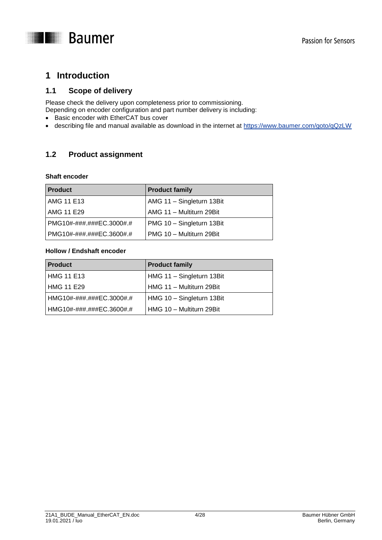

## <span id="page-3-0"></span>**1 Introduction**

## <span id="page-3-1"></span>**1.1 Scope of delivery**

Please check the delivery upon completeness prior to commissioning.

Depending on encoder configuration and part number delivery is including:

- Basic encoder with EtherCAT bus cover
- describing file and manual available as download in the internet at<https://www.baumer.com/goto/qQzLW>

## <span id="page-3-2"></span>**1.2 Product assignment**

#### **Shaft encoder**

| <b>Product</b>             | <b>Product family</b>     |
|----------------------------|---------------------------|
| AMG 11 E13                 | AMG 11 - Singleturn 13Bit |
| <b>AMG 11 E29</b>          | AMG 11 - Multiturn 29Bit  |
| l PMG10#-###.###EC.3000#.# | PMG 10 - Singleturn 13Bit |
| PMG10#-###.###EC.3600#.#   | PMG 10 - Multiturn 29Bit  |

#### **Hollow / Endshaft encoder**

| <b>Product</b>            | <b>Product family</b>     |
|---------------------------|---------------------------|
| HMG 11 E13                | HMG 11 - Singleturn 13Bit |
| HMG 11 E29                | HMG 11 - Multiturn 29Bit  |
| HMG10#-###.###EC.3000#.#_ | HMG 10 - Singleturn 13Bit |
| HMG10#-###.###EC.3600#.#  | HMG 10 - Multiturn 29Bit  |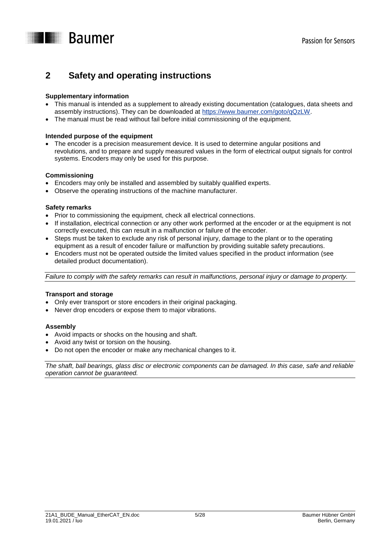

## <span id="page-4-0"></span>**2 Safety and operating instructions**

#### **Supplementary information**

- This manual is intended as a supplement to already existing documentation (catalogues, data sheets and assembly instructions). They can be downloaded at [https://www.baumer.com/goto/qQzLW.](https://www.baumer.com/goto/qQzLW)
- The manual must be read without fail before initial commissioning of the equipment.

#### **Intended purpose of the equipment**

 The encoder is a precision measurement device. It is used to determine angular positions and revolutions, and to prepare and supply measured values in the form of electrical output signals for control systems. Encoders may only be used for this purpose.

#### **Commissioning**

- Encoders may only be installed and assembled by suitably qualified experts.
- Observe the operating instructions of the machine manufacturer.

#### **Safety remarks**

- Prior to commissioning the equipment, check all electrical connections.
- If installation, electrical connection or any other work performed at the encoder or at the equipment is not correctly executed, this can result in a malfunction or failure of the encoder.
- Steps must be taken to exclude any risk of personal injury, damage to the plant or to the operating equipment as a result of encoder failure or malfunction by providing suitable safety precautions.
- Encoders must not be operated outside the limited values specified in the product information (see detailed product documentation).

*Failure to comply with the safety remarks can result in malfunctions, personal injury or damage to property.*

#### **Transport and storage**

- Only ever transport or store encoders in their original packaging.
- Never drop encoders or expose them to major vibrations.

#### **Assembly**

- Avoid impacts or shocks on the housing and shaft.
- Avoid any twist or torsion on the housing.
- Do not open the encoder or make any mechanical changes to it.

*The shaft, ball bearings, glass disc or electronic components can be damaged. In this case, safe and reliable operation cannot be guaranteed.*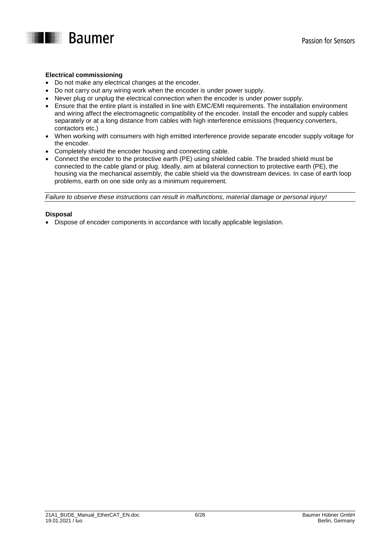

#### **Electrical commissioning**

- Do not make any electrical changes at the encoder.
- Do not carry out any wiring work when the encoder is under power supply.
- Never plug or unplug the electrical connection when the encoder is under power supply.
- Ensure that the entire plant is installed in line with EMC/EMI requirements. The installation environment and wiring affect the electromagnetic compatibility of the encoder. Install the encoder and supply cables separately or at a long distance from cables with high interference emissions (frequency converters, contactors etc.)
- When working with consumers with high emitted interference provide separate encoder supply voltage for the encoder.
- Completely shield the encoder housing and connecting cable.
- Connect the encoder to the protective earth (PE) using shielded cable. The braided shield must be connected to the cable gland or plug. Ideally, aim at bilateral connection to protective earth (PE), the housing via the mechanical assembly, the cable shield via the downstream devices. In case of earth loop problems, earth on one side only as a minimum requirement.

*Failure to observe these instructions can result in malfunctions, material damage or personal injury!*

#### **Disposal**

Dispose of encoder components in accordance with locally applicable legislation.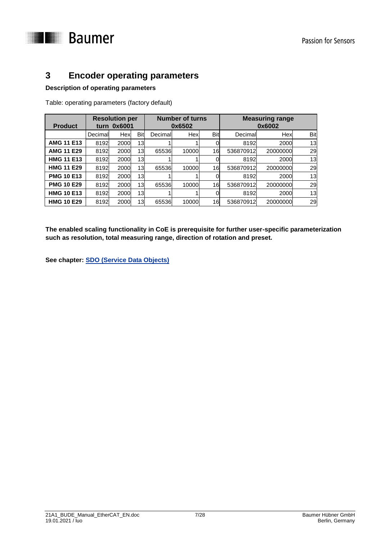

## <span id="page-6-0"></span>**3 Encoder operating parameters**

#### **Description of operating parameters**

Table: operating parameters (factory default)

| <b>Product</b>    | <b>Resolution per</b><br>turn 0x6001 |      | <b>Number of turns</b><br>0x6502 |         |       | <b>Measuring range</b><br>0x6002 |           |          |     |
|-------------------|--------------------------------------|------|----------------------------------|---------|-------|----------------------------------|-----------|----------|-----|
|                   | Decimal                              | Hex  | <b>Bit</b>                       | Decimal | Hex   | Bit                              | Decimal   | Hex      | Bit |
| <b>AMG 11 E13</b> | 8192                                 | 2000 | 13                               |         |       |                                  | 8192      | 2000     | 13  |
| <b>AMG 11 E29</b> | 8192                                 | 2000 | 13                               | 65536   | 10000 | 16                               | 536870912 | 20000000 | 29  |
| <b>HMG 11 E13</b> | 8192                                 | 2000 | 13                               |         |       |                                  | 8192      | 2000     | 13  |
| <b>HMG 11 E29</b> | 8192                                 | 2000 | 13                               | 65536   | 10000 | 16                               | 536870912 | 20000000 | 29  |
| <b>PMG 10 E13</b> | 8192                                 | 2000 | 13                               |         |       |                                  | 8192      | 2000     | 13  |
| <b>PMG 10 E29</b> | 8192                                 | 2000 | 13                               | 65536   | 10000 | 16                               | 536870912 | 20000000 | 29  |
| <b>HMG 10 E13</b> | 8192                                 | 2000 | 13                               |         |       |                                  | 8192      | 2000     | 13  |
| <b>HMG 10 E29</b> | 8192                                 | 2000 | 13                               | 65536   | 10000 | 16                               | 536870912 | 20000000 | 29  |

**The enabled scaling functionality in CoE is prerequisite for further user-specific parameterization such as resolution, total measuring range, direction of rotation and preset.** 

**See chapter: [SDO \(Service Data Objects\)](#page-7-2)**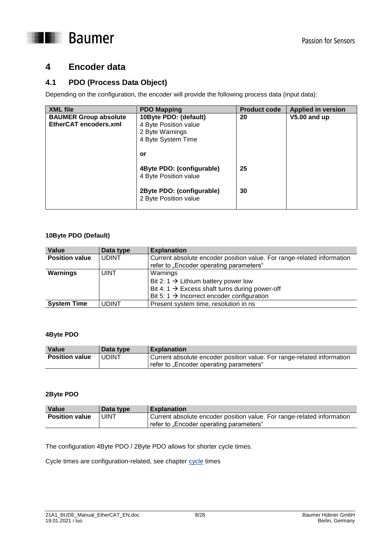

## <span id="page-7-0"></span>**4 Encoder data**

## <span id="page-7-1"></span>**4.1 PDO (Process Data Object)**

Depending on the configuration, the encoder will provide the following process data (input data):

| <b>XML file</b>                                       | <b>PDO Mapping</b>                                                                            | <b>Product code</b> | <b>Applied in version</b> |
|-------------------------------------------------------|-----------------------------------------------------------------------------------------------|---------------------|---------------------------|
| <b>BAUMER Group absolute</b><br>EtherCAT encoders.xml | 10Byte PDO: (default)<br>4 Byte Position value<br>2 Byte Warnings<br>4 Byte System Time<br>or | 20                  | V5.00 and up              |
|                                                       | 4Byte PDO: (configurable)<br>4 Byte Position value                                            | 25                  |                           |
|                                                       | 2Byte PDO: (configurable)<br>2 Byte Position value                                            | 30                  |                           |

#### **10Byte PDO (Default)**

| Value                 | Data type    | <b>Explanation</b>                                                     |
|-----------------------|--------------|------------------------------------------------------------------------|
| <b>Position value</b> | <b>UDINT</b> | Current absolute encoder position value. For range-related information |
|                       |              | refer to "Encoder operating parameters"                                |
| Warnings              | <b>UINT</b>  | Warnings                                                               |
|                       |              | Bit 2: 1 $\rightarrow$ Lithium battery power low                       |
|                       |              | Bit 4: 1 $\rightarrow$ Excess shaft turns during power-off             |
|                       |              | Bit 5: 1 $\rightarrow$ Incorrect encoder configuration                 |
| <b>System Time</b>    | UDINT        | Present system time, resolution in ns                                  |

#### **4Byte PDO**

| Value                 | <b>Data type</b> | <b>Explanation</b>                                                                                                |
|-----------------------|------------------|-------------------------------------------------------------------------------------------------------------------|
| <b>Position value</b> | <b>UDINT</b>     | Current absolute encoder position value. For range-related information<br>refer to "Encoder operating parameters" |

#### **2Byte PDO**

| Value                 | <b>Data type</b> | <b>Explanation</b>                                                     |
|-----------------------|------------------|------------------------------------------------------------------------|
| <b>Position value</b> | <b>UINT</b>      | Current absolute encoder position value. For range-related information |
|                       |                  | refer to "Encoder operating parameters"                                |

The configuration 4Byte PDO / 2Byte PDO allows for shorter cycle times.

<span id="page-7-2"></span>Cycle times are configuration-related, see chapter cycle times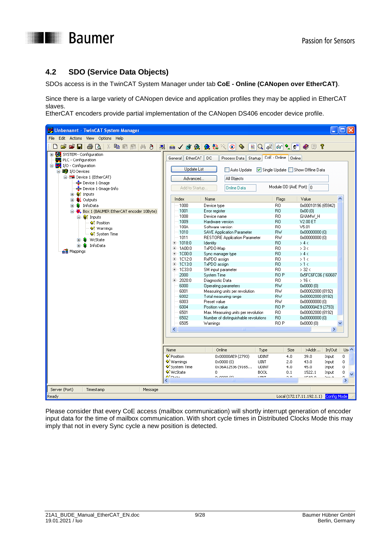

## <span id="page-8-0"></span>**4.2 SDO (Service Data Objects)**

SDOs access is in the TwinCAT System Manager under tab **CoE - Online (CANopen over EtherCAT)**.

Since there is a large variety of CANopen device and application profiles they may be applied in EtherCAT slaves.

EtherCAT encoders provide partial implementation of the CANopen DS406 encoder device profile.

| Unbenannt - TwinCAT System Manager                        |                                   |                                         |                                                        | - 101×                                 |
|-----------------------------------------------------------|-----------------------------------|-----------------------------------------|--------------------------------------------------------|----------------------------------------|
| Edit Actions View Options Help<br>File                    |                                   |                                         |                                                        |                                        |
| $\vec{r}$ $\vec{r}$ ii<br>63 R<br>顔 目<br>¥.<br>电电晶<br>ן ו | 鳳<br>自✓                           | 的负 免结人<br>$\mathbf{q}_\mathrm{c}$<br>©۱ | ിം 2ി<br>$ 66^\circ $ $\sqrt{\mathcal{Q}}^{10}$<br>B Q | 9<br>$\bullet$ 8                       |
|                                                           |                                   |                                         |                                                        |                                        |
| E Configuration                                           | General EtherCAT                  | DC<br>Process Data Startup              | CoE - Online   Online                                  |                                        |
| PLC - Configuration                                       |                                   |                                         |                                                        |                                        |
| 白 T/O - Configuration                                     | <b>Update List</b>                | Auto Update                             | Single Update Show Offline Data                        |                                        |
| 白 <b>野</b> I/O Devices                                    |                                   |                                         |                                                        |                                        |
| □ Device 1 (EtherCAT)<br><b>←</b> Device 1-Image          | Advanced                          | All Objects                             |                                                        |                                        |
| Device 1-Image-Info                                       | Add to Startup                    | <b>Online Data</b>                      | Module OD (AoE Port): 0                                |                                        |
| <b>E-</b> <sup>9</sup> t Inputs                           |                                   |                                         |                                                        |                                        |
| <b>&amp;L</b> Outputs<br>Ò                                | Index                             | Name                                    | Flags                                                  | Value                                  |
| ∙ <mark>⊗</mark> InfoData<br>Ė                            | 1000                              | Device type                             | R <sub>0</sub>                                         | 0x00010196 (65942)                     |
| Box 1 (BAUMER EtherCAT encoder 10Byte)                    | 1001                              | Error register                          | R <sub>0</sub>                                         | 0x00(0)                                |
| <b>⊟</b> <sup>©</sup> t Inputs                            | 1008                              | Device name                             | R <sub>0</sub>                                         | GXAMW H                                |
| ♦↑ Position                                               | 1009                              | Hardware version                        | R <sub>0</sub>                                         | V2.00 ET                               |
| ♦↑ Warnings                                               | 100A                              | Software version                        | R <sub>0</sub>                                         | V5.01                                  |
| ♦↑ System Time                                            | 1010                              | <b>SAVE Application Parameter</b>       | <b>RW</b>                                              | 0x00000000 (0)                         |
| WcState                                                   | 1011                              | <b>RESTORE Application Parameter</b>    | <b>RW</b>                                              | 0x00000000 (0)                         |
| S.<br>InfoData<br>Ŧ                                       | 王 1018:0<br>÷                     | Identity                                | R <sub>0</sub><br>R <sub>0</sub>                       | > 4 <<br>> 3 <                         |
| et Mappings                                               | $-1400:0$<br>由… 1C00:0            | TxPDO-Map<br>Sync manager type          | R <sub>0</sub>                                         | > 4 <                                  |
|                                                           | 由…1C12:0                          | RxPDO assign                            | R <sub>0</sub>                                         | >1<                                    |
|                                                           | 国 1C13:0                          | TxPDO assign                            | R <sub>0</sub>                                         | >1<                                    |
|                                                           | 由…1C33:0                          | SM input parameter                      | R0                                                     | $>$ 32 $<$                             |
|                                                           | 2000                              | <b>System Time</b>                      | RO <sub>P</sub>                                        | 0x5FC6FC06 (160687                     |
|                                                           | 2020:0<br>$\overline{\mathbf{t}}$ | Diagnostic Data                         | RO.                                                    | >16<                                   |
|                                                           | 6000                              | <b>Operating parameters</b>             | <b>RW</b>                                              | 0x0000 (0)                             |
|                                                           | 6001                              | Measuring units per revolution.         | RW                                                     | 0x00002000 (8192)                      |
|                                                           | 6002                              | Total measuring range<br>Preset value   | <b>RW</b>                                              | 0x00002000 (8192)                      |
|                                                           | 6003<br>6004                      | Position value                          | <b>RW</b><br>RO <sub>P</sub>                           | 0x00000000 (0)<br>0x00000AE9 (2793)    |
|                                                           | 6501                              | Max. Measuring units per revolution     | R <sub>0</sub>                                         | 0x00002000 (8192)                      |
|                                                           | 6502                              | Number of distinguishable revolutions   | R <sub>0</sub>                                         | 0x00000000 (0)                         |
|                                                           | 6505                              | Warnings                                | BO <sub>P</sub>                                        | 0x0000 (0)                             |
|                                                           | ∢                                 | <b>IIII</b>                             |                                                        | $\rightarrow$                          |
|                                                           |                                   |                                         |                                                        |                                        |
|                                                           |                                   |                                         |                                                        |                                        |
|                                                           | Name                              | Online                                  | Type<br>Size                                           | Usi A<br>>Addr<br>In/Out               |
|                                                           | ♦ Position                        | 0x00000AE9 (2793)                       | <b>UDINT</b><br>4.0                                    | $\mathbf 0$<br>39.0<br>Input           |
|                                                           | ♦ Warnings                        | 0x0000(0)                               | <b>UINT</b><br>2.0                                     | 43.0<br>$\mathbf 0$<br>Input           |
|                                                           | <b>♦ System Time</b>              | 0x36A12536 (9165                        | <b>UDINT</b><br>4.0                                    | $\overline{0}$<br>45.0<br>Input        |
|                                                           | ♦ WcState                         | $\Omega$                                | <b>BOOL</b><br>0.1                                     | $\mathbf 0$<br>1522.1<br>Input         |
|                                                           | Atrus                             | ougono /o).<br>$\rm{HII}$               | <b>LITALY</b><br>$\sim$ $\sim$                         | $1 - 40$<br>$T = -1.4$<br>$\sim$<br>×. |
| Server (Port)<br>Timestamp<br>Message                     |                                   |                                         |                                                        |                                        |
| Ready                                                     |                                   |                                         |                                                        | Local (172.17.11.192.1.1) Config Mode  |

Please consider that every CoE access (mailbox communication) will shortly interrupt generation of encoder input data for the time of mailbox communication. With short cycle times in Distributed Clocks Mode this may imply that not in every Sync cycle a new position is detected.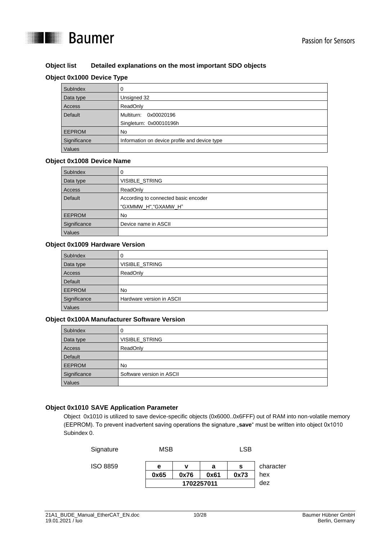

#### **Object list Detailed explanations on the most important SDO objects**

#### **Object 0x1000 Device Type**

| SubIndex      |                                               |
|---------------|-----------------------------------------------|
| Data type     | Unsigned 32                                   |
| Access        | ReadOnly                                      |
| Default       | Multiturn:<br>0x00020196                      |
|               | Singleturn: 0x00010196h                       |
| <b>EEPROM</b> | No.                                           |
| Significance  | Information on device profile and device type |
| Values        |                                               |

#### **Object 0x1008 Device Name**

| SubIndex      | 0                                    |
|---------------|--------------------------------------|
| Data type     | <b>VISIBLE STRING</b>                |
| Access        | ReadOnly                             |
| Default       | According to connected basic encoder |
|               | "GXMMW H","GXAMW H"                  |
| <b>EEPROM</b> | <b>No</b>                            |
| Significance  | Device name in ASCII                 |
| Values        |                                      |

#### **Object 0x1009 Hardware Version**

| SubIndex      | 0                         |
|---------------|---------------------------|
| Data type     | <b>VISIBLE STRING</b>     |
| Access        | ReadOnly                  |
| Default       |                           |
| <b>EEPROM</b> | No                        |
| Significance  | Hardware version in ASCII |
| Values        |                           |

#### **Object 0x100A Manufacturer Software Version**

| SubIndex      | O                         |
|---------------|---------------------------|
| Data type     | <b>VISIBLE STRING</b>     |
| Access        | ReadOnly                  |
| Default       |                           |
| <b>EEPROM</b> | <b>No</b>                 |
| Significance  | Software version in ASCII |
| Values        |                           |

#### **Object 0x1010 SAVE Application Parameter**

Object 0x1010 is utilized to save device-specific objects (0x6000..0x6FFF) out of RAM into non-volatile memory (EEPROM). To prevent inadvertent saving operations the signature "**save**" must be written into object 0x1010 Subindex 0.

| Signature       | MSB  |            |      | <b>LSB</b> |           |
|-----------------|------|------------|------|------------|-----------|
| <b>ISO 8859</b> | е    | ν          | а    | s          | character |
|                 | 0x65 | 0x76       | 0x61 | 0x73       | hex       |
|                 |      | 1702257011 |      |            | dez       |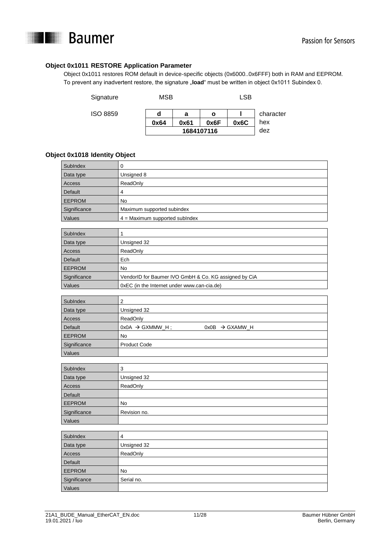

#### **Object 0x1011 RESTORE Application Parameter**

Object 0x1011 restores ROM default in device-specific objects (0x6000..0x6FFF) both in RAM and EEPROM. To prevent any inadvertent restore, the signature "load" must be written in object 0x1011 Subindex 0.

| Signature | MSB  |      |            | LSB  |           |
|-----------|------|------|------------|------|-----------|
| ISO 8859  | d    | а    | ο          |      | character |
|           | 0x64 | 0x61 | 0x6F       | 0x6C | hex       |
|           |      |      | 1684107116 |      | dez       |

#### **Object 0x1018 Identity Object**

| SubIndex      |                                  |  |
|---------------|----------------------------------|--|
| Data type     | Unsigned 8                       |  |
| Access        | ReadOnly                         |  |
| Default       | 4                                |  |
| <b>EEPROM</b> | No                               |  |
| Significance  | Maximum supported subindex       |  |
| Values        | $4 =$ Maximum supported sublndex |  |
|               |                                  |  |

| SubIndex      |                                                       |  |  |
|---------------|-------------------------------------------------------|--|--|
| Data type     | Unsigned 32                                           |  |  |
| Access        | ReadOnly                                              |  |  |
| Default       | Ech                                                   |  |  |
| <b>EEPROM</b> | No.                                                   |  |  |
| Significance  | VendorID for Baumer IVO GmbH & Co. KG assigned by CiA |  |  |
| Values        | 0xEC (in the Internet under www.can-cia.de)           |  |  |

| SubIndex      | າ                                                         |
|---------------|-----------------------------------------------------------|
| Data type     | Unsigned 32                                               |
| Access        | ReadOnly                                                  |
| Default       | $0x0A \rightarrow GXMMW$ H;<br>$0x0B \rightarrow GXAMW H$ |
| <b>EEPROM</b> | No                                                        |
| Significance  | <b>Product Code</b>                                       |
| Values        |                                                           |

| SubIndex      | 3            |  |  |  |
|---------------|--------------|--|--|--|
| Data type     | Unsigned 32  |  |  |  |
| Access        | ReadOnly     |  |  |  |
| Default       |              |  |  |  |
| <b>EEPROM</b> | No           |  |  |  |
| Significance  | Revision no. |  |  |  |
| Values        |              |  |  |  |

| SubIndex      | 4           |  |  |  |
|---------------|-------------|--|--|--|
| Data type     | Unsigned 32 |  |  |  |
| Access        | ReadOnly    |  |  |  |
| Default       |             |  |  |  |
| <b>EEPROM</b> | No          |  |  |  |
| Significance  | Serial no.  |  |  |  |
| Values        |             |  |  |  |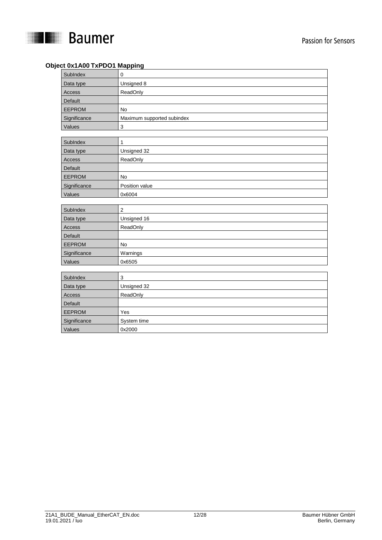

#### **Object 0x1A00 TxPDO1 Mapping**

| SubIndex      | 0                          |
|---------------|----------------------------|
| Data type     | Unsigned 8                 |
| Access        | ReadOnly                   |
| Default       |                            |
| <b>EEPROM</b> | No                         |
| Significance  | Maximum supported subindex |
| Values        | 3                          |
|               |                            |
| SubIndex      | 1                          |
| Data type     | Unsigned 32                |
| Access        | ReadOnly                   |
| Default       |                            |
| <b>EEPROM</b> | <b>No</b>                  |
| Significance  | Position value             |
| Values        | 0x6004                     |
|               |                            |
|               |                            |
| SubIndex      | 2                          |
| Data type     | Unsigned 16                |
| Access        | ReadOnly                   |
| Default       |                            |
| <b>EEPROM</b> | <b>No</b>                  |
| Significance  | Warnings                   |
| Values        | 0x6505                     |
|               |                            |
| SubIndex      | 3                          |
| Data type     | Unsigned 32                |
| Access        | ReadOnly                   |
| Default       |                            |
| <b>EEPROM</b> | Yes                        |
| Significance  | System time<br>0x2000      |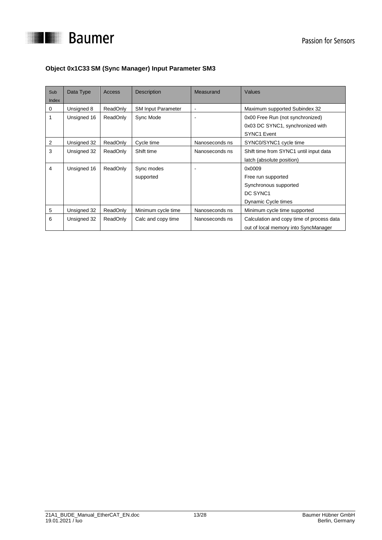

## **Object 0x1C33 SM (Sync Manager) Input Parameter SM3**

| Sub<br>Index   | Data Type   | Access          | <b>Description</b>        | Measurand      | Values                                    |
|----------------|-------------|-----------------|---------------------------|----------------|-------------------------------------------|
| 0              | Unsigned 8  | ReadOnly        | <b>SM Input Parameter</b> | $\blacksquare$ | Maximum supported Subindex 32             |
| 1              | Unsigned 16 | ReadOnly        | Sync Mode                 |                | 0x00 Free Run (not synchronized)          |
|                |             |                 |                           |                | 0x03 DC SYNC1, synchronized with          |
|                |             |                 |                           |                | SYNC1 Event                               |
| $\overline{2}$ | Unsigned 32 | <b>ReadOnly</b> | Cycle time                | Nanoseconds ns | SYNC0/SYNC1 cycle time                    |
| 3              | Unsigned 32 | ReadOnly        | Shift time                | Nanoseconds ns | Shift time from SYNC1 until input data    |
|                |             |                 |                           |                | latch (absolute position)                 |
| $\overline{4}$ | Unsigned 16 | ReadOnly        | Sync modes                |                | 0x0009                                    |
|                |             |                 | supported                 |                | Free run supported                        |
|                |             |                 |                           |                | Synchronous supported                     |
|                |             |                 |                           |                | DC SYNC1                                  |
|                |             |                 |                           |                | Dynamic Cycle times                       |
| 5              | Unsigned 32 | ReadOnly        | Minimum cycle time        | Nanoseconds ns | Minimum cycle time supported              |
| 6              | Unsigned 32 | ReadOnly        | Calc and copy time        | Nanoseconds ns | Calculation and copy time of process data |
|                |             |                 |                           |                | out of local memory into SyncManager      |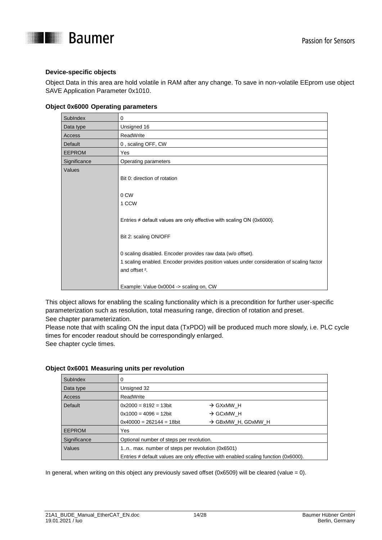

#### **Device-specific objects**

Object Data in this area are hold volatile in RAM after any change. To save in non-volatile EEprom use object SAVE Application Parameter 0x1010.

| SubIndex       | 0                                                                                                                                                                                                                                                                                                                                             |
|----------------|-----------------------------------------------------------------------------------------------------------------------------------------------------------------------------------------------------------------------------------------------------------------------------------------------------------------------------------------------|
| Data type      | Unsigned 16                                                                                                                                                                                                                                                                                                                                   |
| Access         | ReadWrite                                                                                                                                                                                                                                                                                                                                     |
| <b>Default</b> | 0, scaling OFF, CW                                                                                                                                                                                                                                                                                                                            |
| <b>EEPROM</b>  | Yes                                                                                                                                                                                                                                                                                                                                           |
| Significance   | Operating parameters                                                                                                                                                                                                                                                                                                                          |
| Values         | Bit 0: direction of rotation<br>0 CW<br>1 CCW<br>Entries $\neq$ default values are only effective with scaling ON (0x6000).<br>Bit 2: scaling ON/OFF<br>0 scaling disabled. Encoder provides raw data (w/o offset).<br>1 scaling enabled. Encoder provides position values under consideration of scaling factor<br>and offset <sup>2</sup> . |
|                | Example: Value 0x0004 -> scaling on, CW                                                                                                                                                                                                                                                                                                       |

#### **Object 0x6000 Operating parameters**

This object allows for enabling the scaling functionality which is a precondition for further user-specific parameterization such as resolution, total measuring range, direction of rotation and preset. See chapter parameterization.

Please note that with scaling ON the input data (TxPDO) will be produced much more slowly, i.e. PLC cycle times for encoder readout should be correspondingly enlarged.

See chapter cycle times.

| SubIndex      | 0                                                 |                                                                                          |  |
|---------------|---------------------------------------------------|------------------------------------------------------------------------------------------|--|
| Data type     | Unsigned 32                                       |                                                                                          |  |
| Access        | ReadWrite                                         |                                                                                          |  |
| Default       | $0x2000 = 8192 = 13$ bit                          | $\rightarrow$ GXxMW H                                                                    |  |
|               | $0x1000 = 4096 = 12$ bit                          | $\rightarrow$ GCxMW H                                                                    |  |
|               | $0x40000 = 262144 = 18$ bit                       | $\rightarrow$ GBxMW H, GDxMW H                                                           |  |
| <b>EEPROM</b> | Yes                                               |                                                                                          |  |
| Significance  | Optional number of steps per revolution.          |                                                                                          |  |
| Values        | 1n., max. number of steps per revolution (0x6501) |                                                                                          |  |
|               |                                                   | Entries $\neq$ default values are only effective with enabled scaling function (0x6000). |  |

#### **Object 0x6001 Measuring units per revolution**

In general, when writing on this object any previously saved offset (0x6509) will be cleared (value = 0).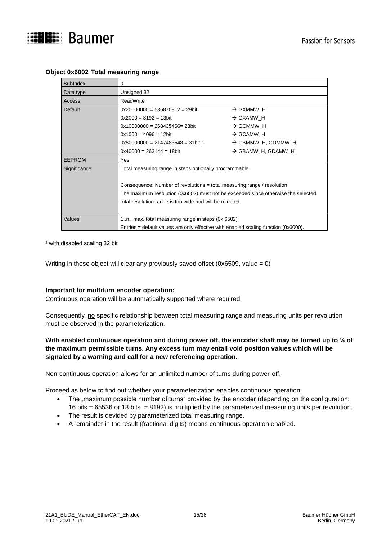

| SubIndex       | 0                                                                                        |                                |  |  |  |
|----------------|------------------------------------------------------------------------------------------|--------------------------------|--|--|--|
| Data type      | Unsigned 32                                                                              |                                |  |  |  |
| Access         | ReadWrite                                                                                |                                |  |  |  |
| <b>Default</b> | $0x20000000 = 536870912 = 29$ bit                                                        | $\rightarrow$ GXMMW H          |  |  |  |
|                | $0x2000 = 8192 = 13$ bit                                                                 | $\rightarrow$ GXAMW H          |  |  |  |
|                | $0x10000000 = 268435456 = 28$ bit                                                        | $\rightarrow$ GCMMW H          |  |  |  |
|                | $0x1000 = 4096 = 12$ bit                                                                 | $\rightarrow$ GCAMW H          |  |  |  |
|                | $0x80000000 = 2147483648 = 31$ bit <sup>2</sup>                                          | $\rightarrow$ GBMMW H, GDMMW H |  |  |  |
|                | $0x40000 = 262144 = 18$ bit                                                              | $\rightarrow$ GBAMW_H, GDAMW_H |  |  |  |
| <b>EEPROM</b>  | Yes                                                                                      |                                |  |  |  |
| Significance   | Total measuring range in steps optionally programmable.                                  |                                |  |  |  |
|                |                                                                                          |                                |  |  |  |
|                | Consequence: Number of revolutions = total measuring range / resolution                  |                                |  |  |  |
|                | The maximum resolution (0x6502) must not be exceeded since otherwise the selected        |                                |  |  |  |
|                | total resolution range is too wide and will be rejected.                                 |                                |  |  |  |
|                |                                                                                          |                                |  |  |  |
| Values         | 1n., max. total measuring range in steps (0x 6502)                                       |                                |  |  |  |
|                | Entries $\neq$ default values are only effective with enabled scaling function (0x6000). |                                |  |  |  |

#### **Object 0x6002 Total measuring range**

² with disabled scaling 32 bit

Writing in these object will clear any previously saved offset (0x6509, value = 0)

#### **Important for multiturn encoder operation:**

Continuous operation will be automatically supported where required.

Consequently, no specific relationship between total measuring range and measuring units per revolution must be observed in the parameterization.

#### **With enabled continuous operation and during power off, the encoder shaft may be turned up to ¼ of the maximum permissible turns. Any excess turn may entail void position values which will be signaled by a warning and call for a new referencing operation.**

Non-continuous operation allows for an unlimited number of turns during power-off.

Proceed as below to find out whether your parameterization enables continuous operation:

- The "maximum possible number of turns" provided by the encoder (depending on the configuration: 16 bits = 65536 or 13 bits = 8192) is multiplied by the parameterized measuring units per revolution.
- The result is devided by parameterized total measuring range.
- A remainder in the result (fractional digits) means continuous operation enabled.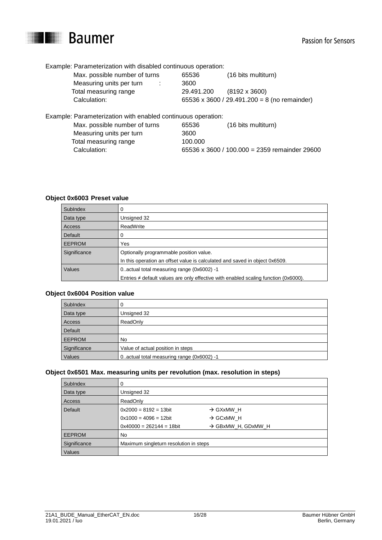

Example: Parameterization with disabled continuous operation:

| Max. possible number of turns                              | 65536      | (16 bits multiturn)                          |
|------------------------------------------------------------|------------|----------------------------------------------|
| Measuring units per turn                                   | 3600       |                                              |
| Total measuring range                                      | 29.491.200 | $(8192 \times 3600)$                         |
| Calculation:                                               |            | 65536 x 3600 / 29.491.200 = 8 (no remainder) |
| ample: Parameterization with enabled continuous operation: |            |                                              |

Example: Parameterization with enabled continuous operation: Max. possible number of turns 65536 (16 bits multiturn) Measuring units per turn 3600 Total measuring range 100.000 Calculation: 65536 x 3600 / 100.000 = 2359 remainder 29600

#### **Object 0x6003 Preset value**

| SubIndex      |                                                                                          |  |
|---------------|------------------------------------------------------------------------------------------|--|
| Data type     | Unsigned 32                                                                              |  |
| Access        | ReadWrite                                                                                |  |
| Default       |                                                                                          |  |
| <b>EEPROM</b> | Yes                                                                                      |  |
| Significance  | Optionally programmable position value.                                                  |  |
|               | In this operation an offset value is calculated and saved in object 0x6509.              |  |
| Values        | 0. actual total measuring range (0x6002) -1                                              |  |
|               | Entries $\neq$ default values are only effective with enabled scaling function (0x6000). |  |

#### **Object 0x6004 Position value**

| SubIndex      |                                             |  |
|---------------|---------------------------------------------|--|
| Data type     | Unsigned 32                                 |  |
| Access        | ReadOnly                                    |  |
| Default       |                                             |  |
| <b>EEPROM</b> | No.                                         |  |
| Significance  | Value of actual position in steps           |  |
| Values        | 0. actual total measuring range (0x6002) -1 |  |

#### **Object 0x6501 Max. measuring units per revolution (max. resolution in steps)**

| SubIndex      |                                        |                                |  |
|---------------|----------------------------------------|--------------------------------|--|
| Data type     | Unsigned 32                            |                                |  |
| Access        | ReadOnly                               |                                |  |
| Default       | $0x2000 = 8192 = 13bit$                | $\rightarrow$ GXxMW H          |  |
|               | $0x1000 = 4096 = 12bit$                | $\rightarrow$ GCxMW H          |  |
|               | $0x40000 = 262144 = 18$ bit            | $\rightarrow$ GBxMW H, GDxMW H |  |
| <b>EEPROM</b> | No                                     |                                |  |
| Significance  | Maximum singleturn resolution in steps |                                |  |
| Values        |                                        |                                |  |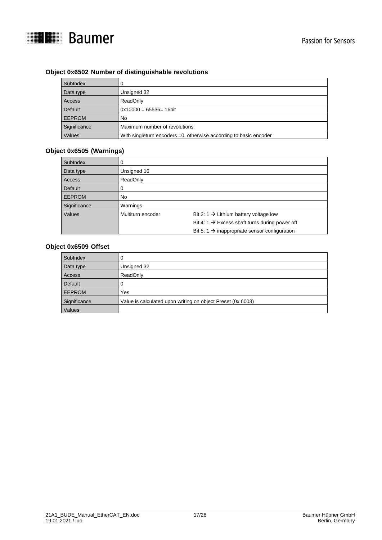

#### **Object 0x6502 Number of distinguishable revolutions**

| Sublndex      |                                                                      |  |
|---------------|----------------------------------------------------------------------|--|
| Data type     | Unsigned 32                                                          |  |
| Access        | ReadOnly                                                             |  |
| Default       | $0x10000 = 65536 = 16$ bit                                           |  |
| <b>EEPROM</b> | <b>No</b>                                                            |  |
| Significance  | Maximum number of revolutions                                        |  |
| Values        | With singleturn encoders $=0$ , otherwise according to basic encoder |  |

#### **Object 0x6505 (Warnings)**

| SubIndex      |                   |                                                            |
|---------------|-------------------|------------------------------------------------------------|
| Data type     | Unsigned 16       |                                                            |
| Access        | ReadOnly          |                                                            |
| Default       |                   |                                                            |
| <b>EEPROM</b> | No                |                                                            |
| Significance  | Warnings          |                                                            |
| Values        | Multiturn encoder | Bit 2: 1 $\rightarrow$ Lithium battery voltage low         |
|               |                   | Bit 4: 1 $\rightarrow$ Excess shaft turns during power off |
|               |                   | Bit 5: 1 $\rightarrow$ inappropriate sensor configuration  |

## **Object 0x6509 Offset**

| SubIndex      |                                                             |  |
|---------------|-------------------------------------------------------------|--|
| Data type     | Unsigned 32                                                 |  |
| Access        | ReadOnly                                                    |  |
| Default       |                                                             |  |
| <b>EEPROM</b> | Yes                                                         |  |
| Significance  | Value is calculated upon writing on object Preset (0x 6003) |  |
| Values        |                                                             |  |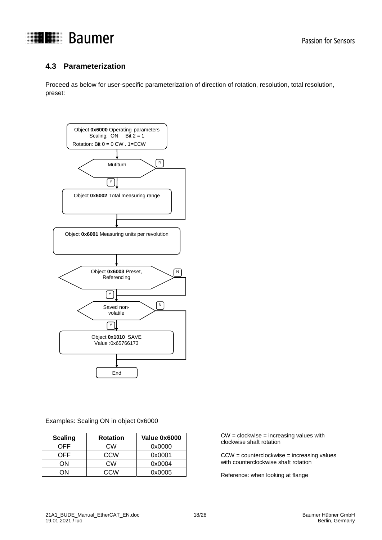

## <span id="page-17-0"></span>**4.3 Parameterization**

Proceed as below for user-specific parameterization of direction of rotation, resolution, total resolution, preset:



#### Examples: Scaling ON in object 0x6000

| <b>Scaling</b> | <b>Rotation</b> | Value 0x6000 |
|----------------|-----------------|--------------|
| OFF            | СW              | 0x0000       |
| OFF            | CCW             | 0x0001       |
| ON             | <b>CW</b>       | 0x0004       |
| ٦N             | CCM             | 0x0005       |

CW = clockwise = increasing values with clockwise shaft rotation

CCW = counterclockwise = increasing values with counterclockwise shaft rotation

Reference: when looking at flange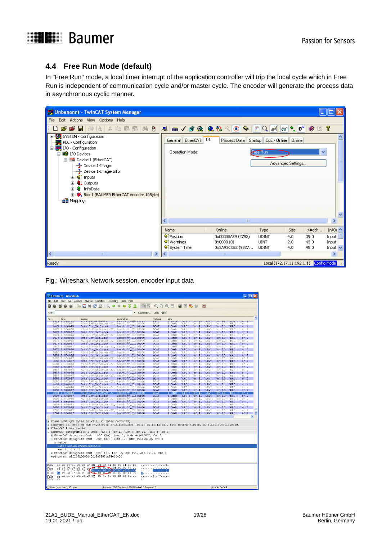

## <span id="page-18-0"></span>**4.4 Free Run Mode (default)**

In "Free Run" mode, a local timer interrupt of the application controller will trip the local cycle which in Free Run is independent of communication cycle and/or master cycle. The encoder will generate the process data in asynchronous cyclic manner.

| 57 Unbenannt - TwinCAT System Manager                                                                                                                                                                                                                                                   |                                              |                             |                                             |                                                          |                   |
|-----------------------------------------------------------------------------------------------------------------------------------------------------------------------------------------------------------------------------------------------------------------------------------------|----------------------------------------------|-----------------------------|---------------------------------------------|----------------------------------------------------------|-------------------|
| Edit Actions View Options Help<br>File                                                                                                                                                                                                                                                  |                                              |                             |                                             |                                                          |                   |
| G S B B B & X & B B A 8 B B G √ 6 & \$ 4 Q \$ { C + B Q c +<br>D                                                                                                                                                                                                                        |                                              |                             |                                             | $\ \theta\theta\ $ $\sim$ $\ \vartheta^\text{in}\ $<br>◉ | $\Box$ ?          |
| El-Configuration<br>PLC - Configuration<br>I/O - Configuration<br>Ė-<br>白 <b>野</b> I/O Devices<br>□ Device 1 (EtherCAT)<br>- Device 1-Image<br>- Device 1-Image-Info<br>∙ <sup>©</sup> Inputs<br>Ŧ<br><b>Q</b> Outputs<br>Ŧ<br>Sa InfoData<br>Ŧ<br>El-CAT encoder 10Byte)<br>e Mappings | DC<br>EtherCAT<br>General<br>Operation Mode: | Process Data                | Startup   CoE - Online   Online<br>Free Run | Advanced Settings                                        | $\checkmark$      |
|                                                                                                                                                                                                                                                                                         |                                              | $\mathop{\rm Hil}\nolimits$ |                                             |                                                          | ≯                 |
|                                                                                                                                                                                                                                                                                         | Name                                         | Online                      | Type                                        | >Addr<br>Size                                            | In/Ou $\triangle$ |
|                                                                                                                                                                                                                                                                                         | <sup>1</sup> Position                        | 0x00000AE9 (2793)           | <b>UDINT</b>                                | 4.0<br>39.0                                              | Input             |
|                                                                                                                                                                                                                                                                                         | ♦ Warnings                                   | $0 \times 0000$ $(0)$       | <b>LINT</b>                                 | 2.0<br>43.0                                              | Input             |
|                                                                                                                                                                                                                                                                                         | ♦ System Time                                | 0x3A93CCEE (9827            | <b>UDINT</b>                                | 4.0<br>45.0                                              | Input $\vee$      |
| $\left  \mathbf{<}\right $<br>$\rightarrow$<br>IIII.                                                                                                                                                                                                                                    | $\mathbf{K}$                                 | $\rm HII$                   |                                             |                                                          | $\rightarrow$     |
| Ready                                                                                                                                                                                                                                                                                   |                                              |                             |                                             | Local (172.17.11.192.1.1) Config Mode                    |                   |

Fig.: Wireshark Network session, encoder input data

|              | (Untitled) - Wireshark         |                                                                                                                                                                                                                                                            |                                                    |                                                          |                    |                                                                 |                                                 | <u> - Idix</u>                              |
|--------------|--------------------------------|------------------------------------------------------------------------------------------------------------------------------------------------------------------------------------------------------------------------------------------------------------|----------------------------------------------------|----------------------------------------------------------|--------------------|-----------------------------------------------------------------|-------------------------------------------------|---------------------------------------------|
|              | Edit View Go Capture           | Analyze Statistics Telephony Tools Help                                                                                                                                                                                                                    |                                                    |                                                          |                    |                                                                 |                                                 |                                             |
|              |                                | 28 A<br><b>BFX</b>                                                                                                                                                                                                                                         | 2. 今 吟 句 了 生                                       |                                                          |                    |                                                                 |                                                 |                                             |
|              |                                |                                                                                                                                                                                                                                                            |                                                    |                                                          |                    |                                                                 |                                                 |                                             |
| Filter:      |                                |                                                                                                                                                                                                                                                            | Expression Clear Apply                             |                                                          |                    |                                                                 |                                                 |                                             |
| No. -        | Time                           | Source<br><b><i><u>A CONTRACTOR COMPANY AND THE STATE OF THE STATE OF THE STATE OF THE STATE OF THE STATE OF THE STATE OF THE STATE OF THE STATE OF THE STATE OF THE STATE OF THE STATE OF THE STATE OF THE STATE OF THE STATE OF THE STATE OF</u></i></b> | Destination                                        | Protocol<br><b>CONTRACTOR</b>                            | Info               | account production of the company of the company of the company |                                                 | <b>MARINE COMPANY AND INCOME.</b>           |
|              | 3670 3.652072                  | MS-NLB-PhysServer-27                                                                                                                                                                                                                                       | Beckhoff_01:00:00                                  | ECAT                                                     | 3 Cmds.            | 'LRD': len 1.                                                   | 'LRW': len 10.                                  | BRD': len 2                                 |
|              | 3671 3.654049<br>3672 3.654060 | Intelcor_1c:1a:e4                                                                                                                                                                                                                                          | Beckhoff_01:00:00<br>Beckhoff_01:00:00             | <b>ECAT</b><br>ECAT                                      | 3 Cmds.<br>3 Cmds. | LRD': len 1,<br>'LRD': len 1.                                   | 'LRW : len 10.<br>'LRW': len 10.                | BRD': len 2<br>BRD': len 2                  |
|              | 3673 3.656037                  | MS-NLB-PhysServer-27_<br>IntelCor_1c:1a:e4                                                                                                                                                                                                                 | Beckhoff_01:00:00                                  | <b>ECAT</b>                                              | 3 cmds,            | 'LRD': len 1,                                                   | 'LRW': 1en 10,                                  | BRD': len 2                                 |
|              | 3674 3.656044                  | MS-NLB-PhysServer-27                                                                                                                                                                                                                                       | Beckhoff_01:00:00                                  | ECAT                                                     | 3 Cmds.            | 'LRD': len 1,                                                   | 'LRW': len 10.                                  | BRD': len 2                                 |
|              | 3675 3.658036                  | Intelcor_1c:1a:e4                                                                                                                                                                                                                                          | Beckhoff_01:00:00                                  | <b>ECAT</b>                                              | 3 Cmds,            | 'LRD': len 1,                                                   | 'LRW : len 10,                                  | 'BRD': len 2                                |
|              | 3676 3.658044                  | MS-NLB-PhysServer-27_                                                                                                                                                                                                                                      | Beckhoff_01:00:00                                  | ECAT<br><b>ECAT</b>                                      | 3 Cmds,            | 'LRD': len 1,                                                   | 'LRW': len 10,                                  | BRD': len 2                                 |
|              | 3677 3.660037<br>3678 3.660043 | IntelCor_1c:1a:e4<br>MS-NLB-PhysServer-27_                                                                                                                                                                                                                 | Beckhoff_01:00:00<br>Beckhott_01:00:00             | ECAT                                                     | 3 Cmds,<br>3 Cmds, | 'LRD': len 1,<br>'LRD': len 1,                                  | 'LRW': len 10,<br>'LRW': 1en 10.                | BRD': len 2<br>BRD': len 2                  |
|              | 3679 3.662036                  | IntelCor_1c:1a:e4                                                                                                                                                                                                                                          | Beckhoff_01:00:00                                  | <b>ECAT</b>                                              | 3 Cmds,            | $LRD$ : len 1,                                                  | LRW : len 10,                                   | BRD': len 2                                 |
|              | 3680 3.662043                  | MS-NLB-PhysServer-27_Beckhoff_01:00:00                                                                                                                                                                                                                     |                                                    | ECAT                                                     | 3 Cmds,            | 'LRD': len 1,                                                   | 'LRW': len 10,                                  | BRD': len 2                                 |
|              | 3681 3.664038                  | IntelCor_1c:1a:e4                                                                                                                                                                                                                                          | Beckhoff_01:00:00                                  | <b>ECAT</b>                                              | 3 Cmds,            | 'LRD': len 1,                                                   | 'LRW': len 10,                                  | BRD': len 2                                 |
|              | 3682 3.664045                  | MS-NLB-PhysServer-27_ Beckhoff_01:00:00                                                                                                                                                                                                                    |                                                    | ECAT                                                     | 3 Cmds,            | LRD': len 1,                                                    | 'LRW': len 10,                                  | BRD': len 2                                 |
|              | 3683 3.666037<br>3684 3.666044 | IntelCor_1c:1a:e4<br>MS-NLB-PhysServer-27_                                                                                                                                                                                                                 | Beckhoff_01:00:00<br>Beckhoff_01:00:00             | <b>ECAT</b><br>ECAT                                      | 3 Cmds,<br>3 Cmds, | 'LRD': len 1,<br>'LRD': len 1.                                  | 'LRW': 1en 10,<br>'LRW': len 10,                | BRD': len 2<br>BRD': len 2                  |
|              | 3685 3.668037                  | IntelCor_1c:1a:e4                                                                                                                                                                                                                                          | Beckhoff_01:00:00                                  | <b>ECAT</b>                                              | 3 Cmds,            | 'LRD': len 1,                                                   | 'LRW': len 10.                                  | BRD': len 2                                 |
|              | 3686 3.668043                  | MS-NLB-PhysServer-27_                                                                                                                                                                                                                                      | Beckhoff_01:00:00                                  | ECAT                                                     | 3 Cmds,            | 'LRD': len 1.                                                   | 'LRW': len 10,                                  | BRD': len 2                                 |
|              | 3687 3.670036                  | IntelCor_1c:1a:e4                                                                                                                                                                                                                                          | Beckhoff_01:00:00                                  | <b>ECAT</b>                                              | 3 Cmds.            | 'LRD': len 1,                                                   | 'LRW': len 10.                                  | BRD': len 2                                 |
|              | 3688 3.670043                  | MS-NLB-PhysServer-27_<br>Intelcor_1c:1a:e4                                                                                                                                                                                                                 | Beckhoff_01:00:00                                  | ECAT<br><b>ECAT</b>                                      | 3 Cmds.            | 'LRD': len 1,                                                   | 'LRW': len 10,<br>'LRW': 1en 10,                | BRD': len 2                                 |
|              | 3689 3.672037<br>3690 3.672044 | MS-NLB-PhysServer-27                                                                                                                                                                                                                                       | Beckhoff_01:00:00<br>Beckhoff_01:00:00             | ECAT                                                     | 3 Cmds,<br>3 Cmds. | 'LRD': 1en 1,<br>'LRD': len 1.                                  | 'LRW': len 10.                                  | BRD': len 2<br>BRD': len 2                  |
|              | 3691 3.674037                  | Intelcor_1c:1a:e4                                                                                                                                                                                                                                          | Beckhoff_01:00:00                                  | <b>ECAT</b>                                              | 3 Cmds,            | 'LRD': 1en 1,                                                   | 'LRw': 1en 10,                                  | BRD': len 2                                 |
|              | 3692 3.674044                  | MS-NLB-PhysServer-27_Beckhoff_01:00:00                                                                                                                                                                                                                     |                                                    | ECAT                                                     | 3 cmds,            | 'LRD': len 1,                                                   | 'LRW': len 10,                                  | 'BRD': len 2                                |
|              | 3693 3.676037                  | IntelCor_1c:1a:e4                                                                                                                                                                                                                                          | Beckhoff_01:00:00                                  | <b>ECAT</b>                                              | 3 Cmds.            | 'LRD': len 1,                                                   | 'LRW': 1en 10,                                  | BRD': len 2                                 |
|              | 3694 3.676044<br>3695 3.678037 | MS-NLB-PhysServer-27<br>Intelcor_1c:1a:e4                                                                                                                                                                                                                  | Beckhoff_01:00:00<br>Beckhoff_01:00:00             | <b>ECAT</b><br><b>ECAT</b>                               | 3 Cmds,<br>3 Cmds, | len 1,<br>LRD <sup>1</sup> :<br>'LRD': len 1,                   | LRW <sup>1</sup> 1<br>Ten 10.<br>'LRW': 1en 10, | BRD': len 2<br>BRD': len 2                  |
|              | 3696 3.678044                  | MS-NLB-PhysServer-27                                                                                                                                                                                                                                       | Beckhoff 01:00:00                                  | ECAT                                                     | 3 Cmds.            | 'LRD': len 1,                                                   | 'LRW': len 10,                                  | BRD': len 2                                 |
|              | 3697 3.680036                  | IntelCor_1c:1a:e4                                                                                                                                                                                                                                          | Beckhoff_01:00:00                                  | <b>ECAT</b>                                              | 3 Cmds,            | 'LRD': len 1,                                                   | 'LRW': len 10,                                  | 'BRD': len 2                                |
|              | 3698 3.680043                  | MS-NLB-PhysServer-27_                                                                                                                                                                                                                                      | Beckhoff_01:00:00                                  | ECAT                                                     | 3 Cmds,            | 'LRD': len 1,                                                   | 'LRW': len 10,                                  | BRD': len 2                                 |
|              | 3699 3.682038                  | IntelCor_1c:1a:e4                                                                                                                                                                                                                                          | Beckhoff_01:00:00                                  | <b>ECAT</b>                                              | 3 Cmds,            | 'LRD': len 1,                                                   | 'LRW': len 10,                                  | BRD': len 2                                 |
|              | 3700 3.682045<br>3701 3.684037 | MS-NLB-PhysServer-27_ Beckhoff_01:00:00<br>IntelCor 1c:1a:e4                                                                                                                                                                                               | Beckhoff 01:00:00                                  | ECAT<br><b>ECAT</b>                                      | 3 Cmds,<br>3 Cmds. | 'LRD': len 1,<br>'LRD': len 1. 'LRW': len 10.                   | 'LRW': len 10,                                  | BRD': len 2<br>$\checkmark$<br>'BRD': len 2 |
|              |                                |                                                                                                                                                                                                                                                            |                                                    |                                                          |                    |                                                                 |                                                 | $\rightarrow$                               |
|              |                                |                                                                                                                                                                                                                                                            |                                                    |                                                          |                    |                                                                 |                                                 |                                             |
|              |                                | E Frame 3694 (81 bytes on wire, 81 bytes captured)                                                                                                                                                                                                         |                                                    |                                                          |                    |                                                                 |                                                 |                                             |
|              |                                | Ethernet II, Src: MS-NLB-PhysServer-27_21:1c:1a:e4 (02:1b:21:1c:1a:e4), Dst: Beckhoff_01:00:00 (01:01:05:01:00:00)                                                                                                                                         |                                                    |                                                          |                    |                                                                 |                                                 |                                             |
|              | <b>EtherCAT frame header</b>   |                                                                                                                                                                                                                                                            |                                                    |                                                          |                    |                                                                 |                                                 |                                             |
|              |                                | ⊟ EtherCAT dataqram(s): 3 Cmds, 'LRD': len 1, 'LRW': len 10, 'BRD': len 2                                                                                                                                                                                  |                                                    |                                                          |                    |                                                                 |                                                 |                                             |
|              |                                | E EtherCAT datagram: Cmd: 'LRD' (10), Len: 1, Addr 0x9000000, Cnt 1                                                                                                                                                                                        |                                                    |                                                          |                    |                                                                 |                                                 |                                             |
|              |                                | E EthercAT datagram: Cmd: 'LRW' (12), Len: 10, Addr 0x1000000, Cnt 1                                                                                                                                                                                       |                                                    |                                                          |                    |                                                                 |                                                 |                                             |
|              | E Header                       |                                                                                                                                                                                                                                                            |                                                    |                                                          |                    |                                                                 |                                                 |                                             |
|              |                                | Data: 1AAD02000000A05DAA58                                                                                                                                                                                                                                 |                                                    |                                                          |                    |                                                                 |                                                 |                                             |
|              | Working Cnt: 1                 |                                                                                                                                                                                                                                                            |                                                    |                                                          |                    |                                                                 |                                                 |                                             |
|              |                                | ⊞ EtherCAT dataqram: Cmd: 'BRD' (7), Len: 2, Adp 0x1, Ado 0x130, Cnt 1                                                                                                                                                                                     |                                                    |                                                          |                    |                                                                 |                                                 |                                             |
|              |                                | Pad bytes: 0101051000004000505985DE83000000                                                                                                                                                                                                                |                                                    |                                                          |                    |                                                                 |                                                 |                                             |
|              |                                |                                                                                                                                                                                                                                                            |                                                    |                                                          |                    |                                                                 |                                                 |                                             |
| 0000         |                                | 01 01 05 01 00 00 02 1b                                                                                                                                                                                                                                    | 21 1c 1a e4 88 a4 31 10                            |                                                          |                    |                                                                 |                                                 |                                             |
| 0010<br>0020 |                                | 0a 00 00 00 00 09 01.80 00 00 00 01 00 0c f9 00                                                                                                                                                                                                            |                                                    | .                                                        |                    |                                                                 |                                                 |                                             |
| 0030         |                                | 00 00 01 0a 80 00 00 1a ad 02 00 00 00 a0 5d aa                                                                                                                                                                                                            |                                                    | and a series of the contract of the<br>8. 0 <del>.</del> |                    |                                                                 |                                                 |                                             |
| 0040         |                                | 00 01 00 07 00 01 00 30 01 02 07 00 00 08 00 01<br>00 01 01 05 10 00 00 40 00 50 59 85 de 83 00 00                                                                                                                                                         |                                                    | $@$ . PY                                                 |                    |                                                                 |                                                 |                                             |
| 0050         | 00                             |                                                                                                                                                                                                                                                            |                                                    |                                                          |                    |                                                                 |                                                 |                                             |
|              |                                |                                                                                                                                                                                                                                                            |                                                    |                                                          |                    |                                                                 |                                                 |                                             |
|              | O Data (ecat.data), 10 bytes   |                                                                                                                                                                                                                                                            | Packets: 3745 Displayed: 3745 Marked: 0 Dropped: 0 |                                                          |                    |                                                                 | Profile: Default                                |                                             |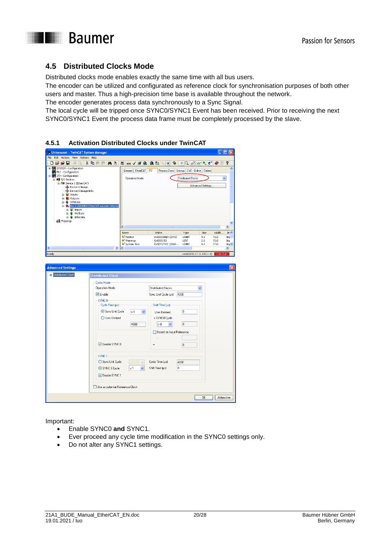

## <span id="page-19-0"></span>**4.5 Distributed Clocks Mode**

Distributed clocks mode enables exactly the same time with all bus users.

The encoder can be utilized and configurated as reference clock for synchronisation purposes of both other users and master. Thus a high-precision time base is available throughout the network.

The encoder generates process data synchronously to a Sync Signal.

The local cycle will be tripped once SYNC0/SYNC1 Event has been received. Prior to receiving the next SYNC0/SYNC1 Event the process data frame must be completely processed by the slave.

| Unbenannt - TwinCAT System Manager<br>File<br>Edit Actions View Options Help                                                                     | ▭                                                                                                                                                                                                                                                                         |
|--------------------------------------------------------------------------------------------------------------------------------------------------|---------------------------------------------------------------------------------------------------------------------------------------------------------------------------------------------------------------------------------------------------------------------------|
| ▯◒◒▮<br>人心白品<br>e a<br>两き                                                                                                                        | P<br>■ ノぎ免 免 社 \ (2) や<br>$E Q e^2 $ 60 $\bullet$ $e^{ a }$<br>鳥<br>圈                                                                                                                                                                                                     |
| E <b>W</b> SYSTEM - Configuration                                                                                                                | ᄉ                                                                                                                                                                                                                                                                         |
| PLC - Configuration<br>1/0 - Configuration                                                                                                       | General EtherCAT DC<br>Process Data   Startup   CoE - Online  <br>Online                                                                                                                                                                                                  |
| 白雪 I/O Devices                                                                                                                                   | Distributed Clocks<br>Operation Mode:<br>×                                                                                                                                                                                                                                |
| Device 1 (EtherCAT)<br>- Device 1-Image                                                                                                          | Advanced Settings.                                                                                                                                                                                                                                                        |
| Device 1-Image-Info<br><b>E</b> St Inputs                                                                                                        |                                                                                                                                                                                                                                                                           |
| <b>El-81</b> Outputs                                                                                                                             |                                                                                                                                                                                                                                                                           |
| <b>B</b> InfoData<br>Box 1 (BAUMER EtherCAT encoder 10Byte)<br>≘                                                                                 |                                                                                                                                                                                                                                                                           |
| <b>⊞ ©</b> † Inputs                                                                                                                              |                                                                                                                                                                                                                                                                           |
| <b>B</b> WcState<br><b>B</b> & InfoData                                                                                                          |                                                                                                                                                                                                                                                                           |
| <b>BB</b> Mappings                                                                                                                               |                                                                                                                                                                                                                                                                           |
|                                                                                                                                                  | ×<br>K.                                                                                                                                                                                                                                                                   |
|                                                                                                                                                  | Size<br>Online<br>>Addr<br>In $\wedge$<br>Name<br>Type                                                                                                                                                                                                                    |
|                                                                                                                                                  | <sup>1</sup> Position<br>0x00000AE9 (2793)<br><b>UDINT</b><br>4.0<br>71.0<br>Inp<br><sup>o</sup> f Warnings<br><b>UINT</b><br>0x0000(0)<br>2.0<br>75.0<br>Inp                                                                                                             |
|                                                                                                                                                  | <b>♦ System Time</b><br>0x9EF6742C (2666<br><b>UDINT</b><br>77.0<br>4.0<br>In $\vee$<br>$\rightarrow$<br>∢<br>$\blacktriangleright$<br>m                                                                                                                                  |
| Ready                                                                                                                                            | Local (172.17.11.192.1.1)<br>Free Run                                                                                                                                                                                                                                     |
|                                                                                                                                                  |                                                                                                                                                                                                                                                                           |
| Cyclic Mode<br>Operation Mode:<br>$\nabla$ Enable<br>SYNC <sub>0</sub><br>Cycle Time (us):<br>Sync Unit Cycle<br>◯ User Defined<br>Enable SYNC 0 | Distributed Clocks<br>v<br>4000<br>Sync Unit Cycle (us):<br>Shift Time [µs]:<br>l o<br>$\times 1$<br>$\checkmark$<br>User Defined<br>+ SYNCO Cycle<br>$\overline{0}$<br>4000<br>$\times 0$<br>$\overline{\phantom{0}}$<br>Based on Input Reference<br>$\overline{0}$<br>Ξ |
| SYNC <sub>1</sub>                                                                                                                                |                                                                                                                                                                                                                                                                           |
| Sync Unit Cycle                                                                                                                                  | Cycle Time (us):<br>4000                                                                                                                                                                                                                                                  |
| ⊙ SYNC 0 Cycle                                                                                                                                   | $\overline{0}$<br>Shift Time (us):<br>x <sub>1</sub>                                                                                                                                                                                                                      |
| Enable SYNC 1                                                                                                                                    |                                                                                                                                                                                                                                                                           |
|                                                                                                                                                  | Use as potential Reference Clock                                                                                                                                                                                                                                          |
|                                                                                                                                                  | OK<br>Abbrechen                                                                                                                                                                                                                                                           |

<span id="page-19-1"></span>**4.5.1 Activation Distributed Clocks under TwinCAT**

Important:

- Enable SYNC0 **and** SYNC1.
- Ever proceed any cycle time modification in the SYNC0 settings only.
- Do not alter any SYNC1 settings.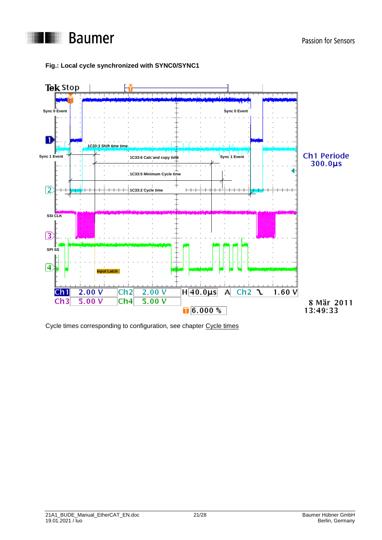

#### **Fig.: Local cycle synchronized with SYNC0/SYNC1**



Cycle times corresponding to configuration, see chapter Cycle times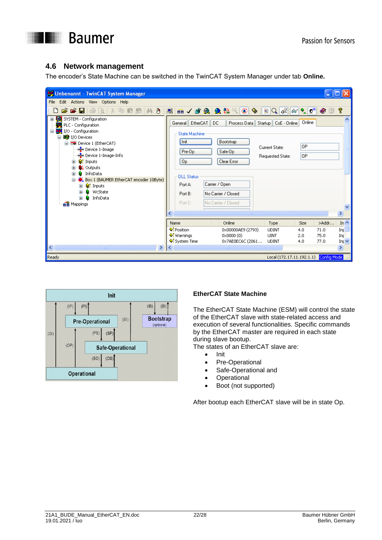

## <span id="page-21-0"></span>**4.6 Network management**

The encoder's State Machine can be switched in the TwinCAT System Manager under tab **Online.**





#### **EtherCAT State Machine**

The EtherCAT State Machine (ESM) will control the state of the EtherCAT slave with state-related access and execution of several functionalities. Specific commands by the EtherCAT master are required in each state during slave bootup.

The states of an EtherCAT slave are:

- Init
- Pre-Operational
- Safe-Operational and
- **Operational**
- Boot (not supported)

After bootup each EtherCAT slave will be in state Op.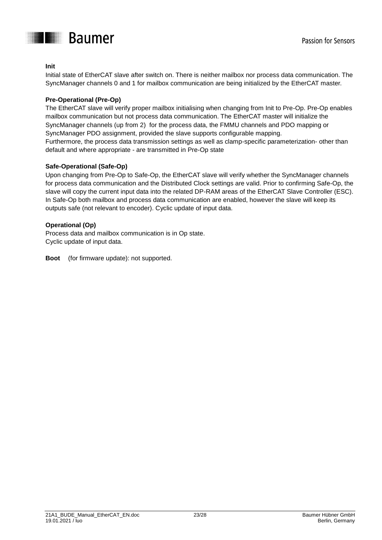

#### **Init**

Initial state of EtherCAT slave after switch on. There is neither mailbox nor process data communication. The SyncManager channels 0 and 1 for mailbox communication are being initialized by the EtherCAT master.

#### **Pre-Operational (Pre-Op)**

The EtherCAT slave will verify proper mailbox initialising when changing from Init to Pre-Op. Pre-Op enables mailbox communication but not process data communication. The EtherCAT master will initialize the SyncManager channels (up from 2) for the process data, the FMMU channels and PDO mapping or SyncManager PDO assignment, provided the slave supports configurable mapping. Furthermore, the process data transmission settings as well as clamp-specific parameterization- other than default and where appropriate - are transmitted in Pre-Op state

#### **Safe-Operational (Safe-Op)**

Upon changing from Pre-Op to Safe-Op, the EtherCAT slave will verify whether the SyncManager channels for process data communication and the Distributed Clock settings are valid. Prior to confirming Safe-Op, the slave will copy the current input data into the related DP-RAM areas of the EtherCAT Slave Controller (ESC). In Safe-Op both mailbox and process data communication are enabled, however the slave will keep its outputs safe (not relevant to encoder). Cyclic update of input data.

#### **Operational (Op)**

Process data and mailbox communication is in Op state. Cyclic update of input data.

**Boot** (for firmware update): not supported.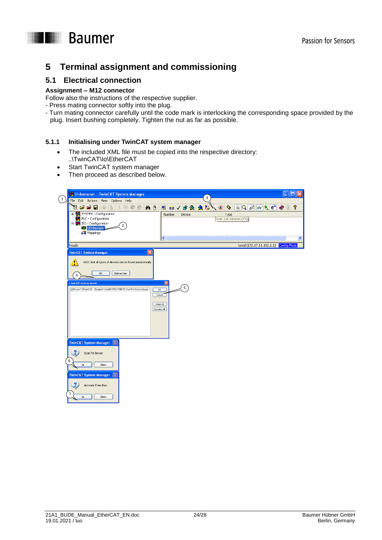### Passion for Sensors

## **THE Baumer**

## <span id="page-23-0"></span>**5 Terminal assignment and commissioning**

## <span id="page-23-1"></span>**5.1 Electrical connection**

#### **Assignment – M12 connector**

Follow also the instructions of the respective supplier.

- Press mating connector softly into the plug.
- Turn mating connector carefully until the code mark is interlocking the corresponding space provided by the plug. Insert bushing completely. Tighten the nut as far as possible.

#### <span id="page-23-2"></span>**5.1.1 Initialising under TwinCAT system manager**

- The included XML file must be copied into the respective directory: ..\TwinCAT\Io\EtherCAT
- Start TwinCAT system manager
- Then proceed as described below.

| Unbenannt - TwinCAT System Manager                                                                             |                            |                                                                                                   |    |
|----------------------------------------------------------------------------------------------------------------|----------------------------|---------------------------------------------------------------------------------------------------|----|
| $\mathbf{1}$<br>File Edit Actions View Options Help                                                            |                            | 3                                                                                                 |    |
| a e Fitto a<br>电信品<br><b>纳己</b><br>¥.                                                                          | 日品/普色色                     | $\mathbb{E}  Q  \mathbb{G}^2  G  \cdot \mathbb{Q}^2 \otimes \mathbb{Z}$<br>穀<br>$\mathbf{e}$<br>ෙ | P  |
| E Configuration<br>PLC - Configuration<br>E-F I/O - Configuration<br><b>野</b> I/O Devices<br><b>B</b> Mappings | Number<br>Device           | Type<br>Scan Sub Devices (F5)                                                                     |    |
|                                                                                                                | $\leq$                     | IIII.                                                                                             | ×. |
| Ready                                                                                                          |                            | Local (172.17.11.192.1.1) Config Mode                                                             |    |
| $\boldsymbol{\times}$<br><b>TwinCAT System Manager</b>                                                         |                            |                                                                                                   |    |
| Ţ<br>HINT: Not all types of devices can be found automatically                                                 |                            |                                                                                                   |    |
|                                                                                                                |                            |                                                                                                   |    |
| Abbrechen<br>OK<br>4                                                                                           |                            |                                                                                                   |    |
| 1 new I/O devices found                                                                                        |                            |                                                                                                   |    |
| Device 1 (EtherCAT) [Dualport 1 (Intel(R) PRO/1000 MT Dual Port Server Adapter -                               | 5<br>0K<br>Cancel          |                                                                                                   |    |
|                                                                                                                | Select All<br>Unselect All |                                                                                                   |    |
|                                                                                                                |                            |                                                                                                   |    |
|                                                                                                                |                            |                                                                                                   |    |
|                                                                                                                |                            |                                                                                                   |    |
| Ix                                                                                                             |                            |                                                                                                   |    |
| <b>TwinCAT System Manager</b>                                                                                  |                            |                                                                                                   |    |
| Scan for boxes                                                                                                 |                            |                                                                                                   |    |
| 6<br>Nein<br>Ja                                                                                                |                            |                                                                                                   |    |
| <b>TwinCAT System Manager</b>                                                                                  |                            |                                                                                                   |    |
| ?<br>Activate Free Run                                                                                         |                            |                                                                                                   |    |
| 7<br>Ja<br>Nein                                                                                                |                            |                                                                                                   |    |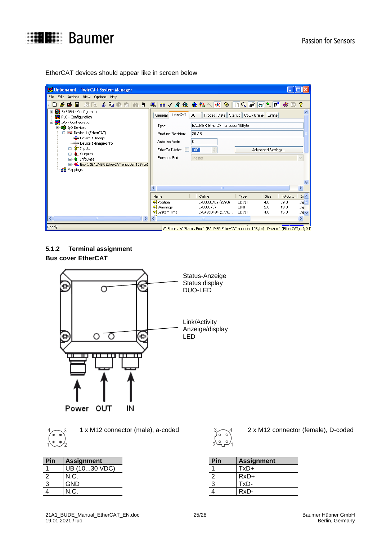

EtherCAT devices should appear like in screen below

| Unbenannt - TwinCAT System Manager                                                                                                                                                                                                                                                                       |                                                                                                                                                                                                                                                                                                                                                       |  |
|----------------------------------------------------------------------------------------------------------------------------------------------------------------------------------------------------------------------------------------------------------------------------------------------------------|-------------------------------------------------------------------------------------------------------------------------------------------------------------------------------------------------------------------------------------------------------------------------------------------------------------------------------------------------------|--|
| Edit Actions View Options Help<br>File                                                                                                                                                                                                                                                                   |                                                                                                                                                                                                                                                                                                                                                       |  |
| $\mathbf{r} \in \mathbf{r}$<br>噕<br>※ 亀 信 扇   純 身  <br>lå.                                                                                                                                                                                                                                               | 由ノ歌免 免费入  8  <br>$ Q _0$ 2<br>$ \theta_0  \propto  \psi^{\text{in}} $<br>P<br>鳯<br>Г.<br>圈<br>目<br>◉                                                                                                                                                                                                                                                  |  |
| E Configuration<br>PLC - Configuration<br>I/O - Configuration<br>ė<br><b>野</b> I/O Devices<br>Ė<br>□ Device 1 (EtherCAT)<br>- Device 1-Image<br>→ Device 1-Image-Info<br>- <sup>©</sup> inputs<br>田<br><b>SL</b> Outputs<br>田<br>& InfoData<br>œ<br>Box 1 (BAUMER EtherCAT encoder 10Byte)<br>e Mappings | EtherCAT<br>DC.<br>CoE - Online   Online<br>Process Data<br>Startup<br>General<br>BAUMER EtherCAT encoder 10Byte<br>Type:<br>20/5<br>Product/Revision:<br>0<br>Auto Inc Addr:<br>1001<br>$\stackrel{\scriptscriptstyle\wedge}{\scriptscriptstyle\vee}$<br>EtherCAT Addr:<br>Advanced Settings<br>Previous Port:<br>Master<br>$\checkmark$             |  |
| $\left\langle \cdot \right\rangle$<br>$\rightarrow$<br><b>TITLE</b>                                                                                                                                                                                                                                      | $\,>\,$<br>TILL.<br>In $\sim$<br>Online<br>>Addr<br>Name<br>Size<br>Type<br><b>O</b> T Position<br>0x00000AE9 (2793)<br><b>UDINT</b><br>39.0<br>Inp<br>4.0<br>♦↑ Warnings<br>$0 \times 0000$ $(0)$<br><b>LINT</b><br>43.0<br>2.0<br>Inp<br>♦ System Time<br>0x0A96D494 (1776<br>4.0<br>45.0<br><b>UDINT</b><br>Int $\sqrt{}$<br>∢<br>×.<br><b>TIT</b> |  |
| Ready                                                                                                                                                                                                                                                                                                    | WcState , WcState , Box 1 (BAUMER EtherCAT encoder 10Byte) , Device 1 (EtherCAT) , I/O D                                                                                                                                                                                                                                                              |  |

<span id="page-24-0"></span>**5.1.2 Terminal assignment Bus cover EtherCAT**





| Pin        | <b>Assignment</b> | Pin | <b>Assignment</b> |
|------------|-------------------|-----|-------------------|
|            | UB (1030 VDC)     |     | -xD+              |
|            | N.C.              |     | $RxD+$            |
| $\sqrt{2}$ | GND               |     | ™xD-              |
|            | N.C.              |     | RxD-              |
|            |                   |     |                   |



1 x M12 connector (male), a-coded 2 x M12 connector (female), D-coded

| Pin | <b>Assignment</b> |
|-----|-------------------|
|     | $TxD+$            |
| 2   | $RxD+$            |
| 3   | TxD-              |
|     | RxD-              |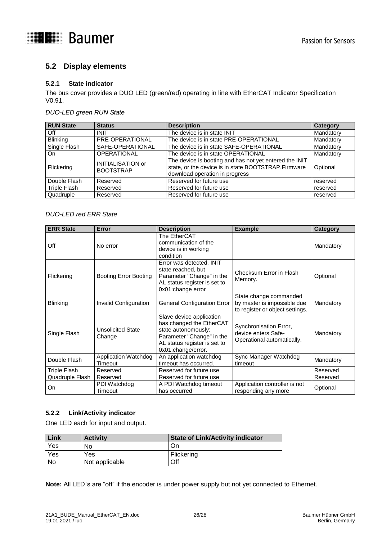



## <span id="page-25-0"></span>**5.2 Display elements**

#### <span id="page-25-1"></span>**5.2.1 State indicator**

The bus cover provides a DUO LED (green/red) operating in line with EtherCAT Indicator Specification V0.91.

#### *DUO-LED green RUN State*

| <b>RUN State</b>    | <b>Status</b>                                | <b>Description</b>                                                                                                                              | <b>Category</b> |
|---------------------|----------------------------------------------|-------------------------------------------------------------------------------------------------------------------------------------------------|-----------------|
| Off                 | <b>INIT</b>                                  | The device is in state INIT                                                                                                                     | Mandatory       |
| <b>Blinking</b>     | PRE-OPERATIONAL                              | The device is in state PRE-OPERATIONAL                                                                                                          | Mandatory       |
| Single Flash        | SAFE-OPERATIONAL                             | The device is in state SAFE-OPERATIONAL                                                                                                         | Mandatory       |
| On                  | <b>OPERATIONAL</b>                           | The device is in state OPERATIONAL                                                                                                              | Mandatory       |
| Flickering          | <b>INITIALISATION or</b><br><b>BOOTSTRAP</b> | The device is booting and has not yet entered the INIT<br>state, or the device is in state BOOTSTRAP.Firmware<br>download operation in progress | Optional        |
| Double Flash        | Reserved                                     | Reserved for future use                                                                                                                         | reserved        |
| <b>Triple Flash</b> | Reserved                                     | Reserved for future use                                                                                                                         | reserved        |
| Quadruple           | Reserved                                     | Reserved for future use                                                                                                                         | reserved        |

#### *DUO-LED red ERR State*

| <b>ERR State</b>    | Error                                  | <b>Description</b>                                                                                                                                             | <b>Example</b>                                                                           | <b>Category</b> |
|---------------------|----------------------------------------|----------------------------------------------------------------------------------------------------------------------------------------------------------------|------------------------------------------------------------------------------------------|-----------------|
| Off                 | No error                               | The EtherCAT<br>communication of the<br>device is in working<br>condition                                                                                      |                                                                                          | Mandatory       |
| Flickering          | <b>Booting Error Booting</b>           | Error was detected. INIT<br>state reached, but<br>Parameter "Change" in the<br>AL status register is set to<br>0x01:change error                               | Checksum Error in Flash<br>Memory.                                                       | Optional        |
| <b>Blinking</b>     | Invalid Configuration                  | <b>General Configuration Error</b>                                                                                                                             | State change commanded<br>by master is impossible due<br>to register or object settings. | Mandatory       |
| Single Flash        | <b>Unsolicited State</b><br>Change     | Slave device application<br>has changed the EtherCAT<br>state autonomously:<br>Parameter "Change" in the<br>AL status register is set to<br>0x01:change/error. | Synchronisation Error,<br>device enters Safe-<br>Operational automatically.              | Mandatory       |
| Double Flash        | <b>Application Watchdog</b><br>Timeout | An application watchdog<br>timeout has occurred.                                                                                                               | Sync Manager Watchdog<br>timeout                                                         | Mandatory       |
| <b>Triple Flash</b> | Reserved                               | Reserved for future use                                                                                                                                        |                                                                                          | Reserved        |
| Quadruple Flash     | Reserved                               | Reserved for future use                                                                                                                                        |                                                                                          | Reserved        |
| On                  | PDI Watchdog<br>Timeout                | A PDI Watchdog timeout<br>has occurred                                                                                                                         | Application controller is not<br>responding any more                                     | Optional        |

#### <span id="page-25-2"></span>**5.2.2 Link/Activity indicator**

One LED each for input and output.

| Link | <b>Activity</b> | <b>State of Link/Activity indicator</b> |
|------|-----------------|-----------------------------------------|
| Yes  | No              | On                                      |
| Yes  | Yes             | Flickering                              |
| No   | Not applicable  | Off                                     |

**Note:** All LED´s are "off" if the encoder is under power supply but not yet connected to Ethernet.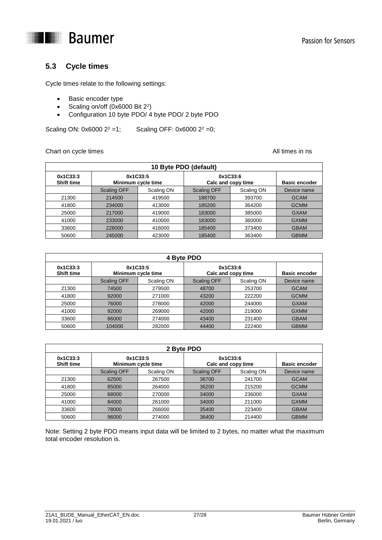

## <span id="page-26-0"></span>**5.3 Cycle times**

Cycle times relate to the following settings:

- Basic encoder type
- Scaling on/off (0x6000 Bit 2<sup>2</sup>)
- Configuration 10 byte PDO/ 4 byte PDO/ 2 byte PDO

Scaling ON:  $0x60002^2 = 1$ ; Scaling OFF:  $0x60002^2 = 0$ ;

#### Chart on cycle times **All times** in ns

| 10 Byte PDO (default)         |                                |            |                                |            |                      |  |
|-------------------------------|--------------------------------|------------|--------------------------------|------------|----------------------|--|
| 0x1C33:3<br><b>Shift time</b> | 0x1C33:5<br>Minimum cycle time |            | 0x1C33:6<br>Calc and copy time |            | <b>Basic encoder</b> |  |
|                               | <b>Scaling OFF</b>             | Scaling ON | <b>Scaling OFF</b>             | Scaling ON | Device name          |  |
| 21300                         | 214500                         | 419500     | 188700                         | 393700     | <b>GCAM</b>          |  |
| 41800                         | 234000                         | 413000     | 185200                         | 364200     | <b>GCMM</b>          |  |
| 25000                         | 217000                         | 419000     | 183000                         | 385000     | <b>GXAM</b>          |  |
| 41000                         | 233000                         | 410000     | 183000                         | 360000     | <b>GXMM</b>          |  |
| 33600                         | 228000                         | 416000     | 185400                         | 373400     | <b>GBAM</b>          |  |
| 50600                         | 245000                         | 423000     | 185400                         | 363400     | <b>GBMM</b>          |  |

| 4 Byte PDO                    |                                |            |                                |            |                      |  |
|-------------------------------|--------------------------------|------------|--------------------------------|------------|----------------------|--|
| 0x1C33:3<br><b>Shift time</b> | 0x1C33:5<br>Minimum cycle time |            | 0x1C33:6<br>Calc and copy time |            | <b>Basic encoder</b> |  |
|                               | <b>Scaling OFF</b>             | Scaling ON | <b>Scaling OFF</b>             | Scaling ON | Device name          |  |
| 21300                         | 74500                          | 279500     | 48700                          | 253700     | <b>GCAM</b>          |  |
| 41800                         | 92000                          | 271000     | 43200                          | 222200     | <b>GCMM</b>          |  |
| 25000                         | 76000                          | 278000     | 42000                          | 244000     | <b>GXAM</b>          |  |
| 41000                         | 92000                          | 269000     | 42000                          | 219000     | <b>GXMM</b>          |  |
| 33600                         | 86000                          | 274000     | 43400                          | 231400     | <b>GBAM</b>          |  |
| 50600                         | 104000                         | 282000     | 44400                          | 222400     | <b>GBMM</b>          |  |

| 2 Byte PDO                    |                                |            |                    |                                |             |  |
|-------------------------------|--------------------------------|------------|--------------------|--------------------------------|-------------|--|
| 0x1C33:3<br><b>Shift time</b> | 0x1C33:5<br>Minimum cycle time |            |                    | 0x1C33:6<br>Calc and copy time |             |  |
|                               | <b>Scaling OFF</b>             | Scaling ON | <b>Scaling OFF</b> | Scaling ON                     | Device name |  |
| 21300                         | 62500                          | 267500     | 36700              | 241700                         | <b>GCAM</b> |  |
| 41800                         | 85000                          | 264000     | 36200              | 215200                         | <b>GCMM</b> |  |
| 25000                         | 68000                          | 270000     | 34000              | 236000                         | <b>GXAM</b> |  |
| 41000                         | 84000                          | 261000     | 34000              | 211000                         | <b>GXMM</b> |  |
| 33600                         | 78000                          | 266000     | 35400              | 223400                         | <b>GBAM</b> |  |
| 50600                         | 96000                          | 274000     | 36400              | 214400                         | <b>GBMM</b> |  |

Note: Setting 2 byte PDO means input data will be limited to 2 bytes, no matter what the maximum total encoder resolution is.